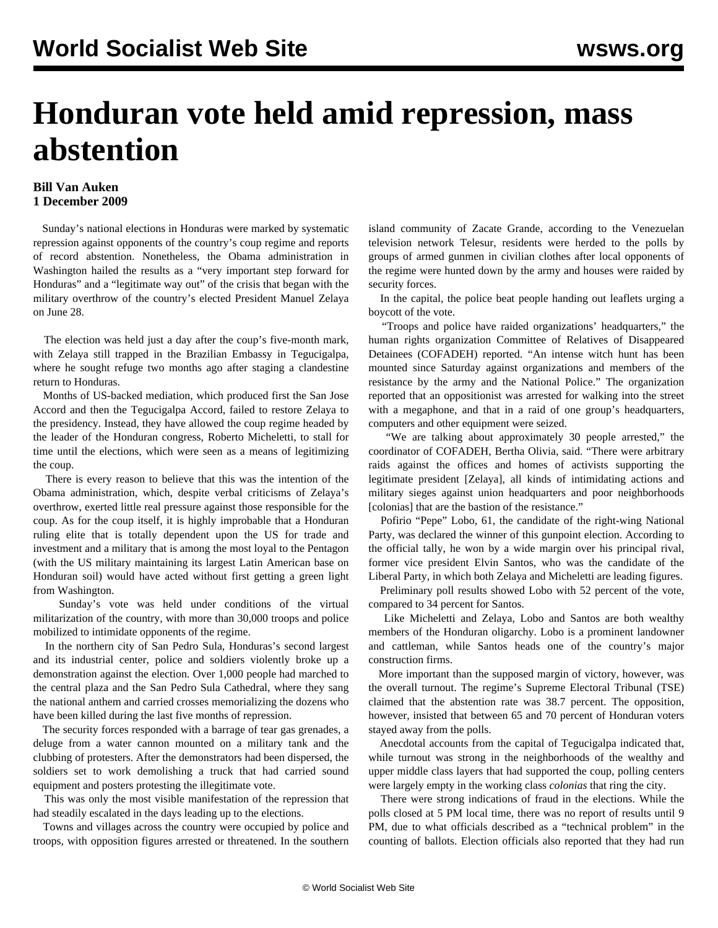## **Honduran vote held amid repression, mass abstention**

## **Bill Van Auken 1 December 2009**

 Sunday's national elections in Honduras were marked by systematic repression against opponents of the country's coup regime and reports of record abstention. Nonetheless, the Obama administration in Washington hailed the results as a "very important step forward for Honduras" and a "legitimate way out" of the crisis that began with the military overthrow of the country's elected President Manuel Zelaya on June 28.

 The election was held just a day after the coup's five-month mark, with Zelaya still trapped in the Brazilian Embassy in Tegucigalpa, where he sought refuge two months ago after staging a clandestine return to Honduras.

 Months of US-backed mediation, which produced first the San Jose Accord and then the Tegucigalpa Accord, failed to restore Zelaya to the presidency. Instead, they have allowed the coup regime headed by the leader of the Honduran congress, Roberto Micheletti, to stall for time until the elections, which were seen as a means of legitimizing the coup.

 There is every reason to believe that this was the intention of the Obama administration, which, despite verbal criticisms of Zelaya's overthrow, exerted little real pressure against those responsible for the coup. As for the coup itself, it is highly improbable that a Honduran ruling elite that is totally dependent upon the US for trade and investment and a military that is among the most loyal to the Pentagon (with the US military maintaining its largest Latin American base on Honduran soil) would have acted without first getting a green light from Washington.

 Sunday's vote was held under conditions of the virtual militarization of the country, with more than 30,000 troops and police mobilized to intimidate opponents of the regime.

 In the northern city of San Pedro Sula, Honduras's second largest and its industrial center, police and soldiers violently broke up a demonstration against the election. Over 1,000 people had marched to the central plaza and the San Pedro Sula Cathedral, where they sang the national anthem and carried crosses memorializing the dozens who have been killed during the last five months of repression.

 The security forces responded with a barrage of tear gas grenades, a deluge from a water cannon mounted on a military tank and the clubbing of protesters. After the demonstrators had been dispersed, the soldiers set to work demolishing a truck that had carried sound equipment and posters protesting the illegitimate vote.

 This was only the most visible manifestation of the repression that had steadily escalated in the days leading up to the elections.

 Towns and villages across the country were occupied by police and troops, with opposition figures arrested or threatened. In the southern

island community of Zacate Grande, according to the Venezuelan television network Telesur, residents were herded to the polls by groups of armed gunmen in civilian clothes after local opponents of the regime were hunted down by the army and houses were raided by security forces.

 In the capital, the police beat people handing out leaflets urging a boycott of the vote.

 "Troops and police have raided organizations' headquarters," the human rights organization Committee of Relatives of Disappeared Detainees (COFADEH) reported. "An intense witch hunt has been mounted since Saturday against organizations and members of the resistance by the army and the National Police." The organization reported that an oppositionist was arrested for walking into the street with a megaphone, and that in a raid of one group's headquarters, computers and other equipment were seized.

 "We are talking about approximately 30 people arrested," the coordinator of COFADEH, Bertha Olivia, said. "There were arbitrary raids against the offices and homes of activists supporting the legitimate president [Zelaya], all kinds of intimidating actions and military sieges against union headquarters and poor neighborhoods [colonias] that are the bastion of the resistance."

 Pofirio "Pepe" Lobo, 61, the candidate of the right-wing National Party, was declared the winner of this gunpoint election. According to the official tally, he won by a wide margin over his principal rival, former vice president Elvin Santos, who was the candidate of the Liberal Party, in which both Zelaya and Micheletti are leading figures.

 Preliminary poll results showed Lobo with 52 percent of the vote, compared to 34 percent for Santos.

 Like Micheletti and Zelaya, Lobo and Santos are both wealthy members of the Honduran oligarchy. Lobo is a prominent landowner and cattleman, while Santos heads one of the country's major construction firms.

 More important than the supposed margin of victory, however, was the overall turnout. The regime's Supreme Electoral Tribunal (TSE) claimed that the abstention rate was 38.7 percent. The opposition, however, insisted that between 65 and 70 percent of Honduran voters stayed away from the polls.

 Anecdotal accounts from the capital of Tegucigalpa indicated that, while turnout was strong in the neighborhoods of the wealthy and upper middle class layers that had supported the coup, polling centers were largely empty in the working class *colonias* that ring the city.

 There were strong indications of fraud in the elections. While the polls closed at 5 PM local time, there was no report of results until 9 PM, due to what officials described as a "technical problem" in the counting of ballots. Election officials also reported that they had run